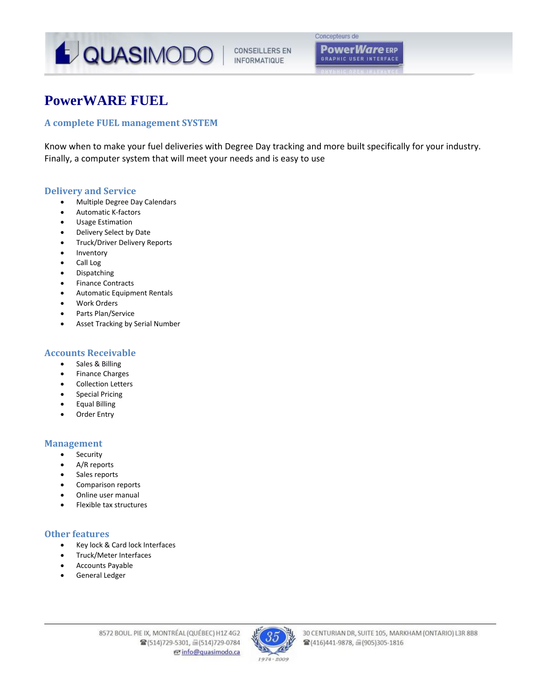

# **GRAPHIC USER INTERFACE**

# **PowerWARE FUEL**

# **A complete FUEL management SYSTEM**

Know when to make your fuel deliveries with Degree Day tracking and more built specifically for your industry. Finally, a computer system that will meet your needs and is easy to use

# **Delivery and Service**

- Multiple Degree Day Calendars
- Automatic K‐factors
- Usage Estimation
- Delivery Select by Date
- Truck/Driver Delivery Reports
- Inventory
- Call Log
- Dispatching
- Finance Contracts
- Automatic Equipment Rentals
- Work Orders
- Parts Plan/Service
- Asset Tracking by Serial Number

# **Accounts Receivable**

- Sales & Billing
- **•** Finance Charges
- Collection Letters
- Special Pricing
- Equal Billing
- Order Entry

# **Management**

- Security
- A/R reports
- Sales reports
- Comparison reports
- Online user manual
- Flexible tax structures

# **Other features**

- Key lock & Card lock Interfaces
- Truck/Meter Interfaces
- Accounts Payable
- General Ledger

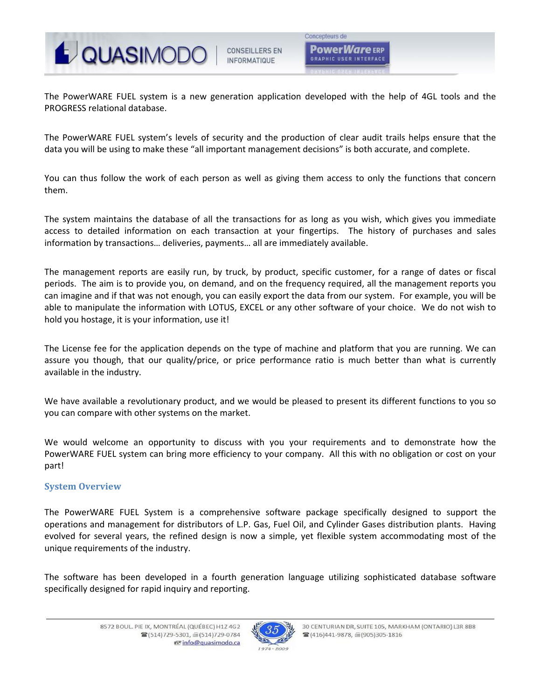

Concepteurs de **PowerWare** ERP **GRAPHIC USER INTERFACT** 

The PowerWARE FUEL system is a new generation application developed with the help of 4GL tools and the PROGRESS relational database.

The PowerWARE FUEL system's levels of security and the production of clear audit trails helps ensure that the data you will be using to make these "all important management decisions" is both accurate, and complete.

You can thus follow the work of each person as well as giving them access to only the functions that concern them.

The system maintains the database of all the transactions for as long as you wish, which gives you immediate access to detailed information on each transaction at your fingertips. The history of purchases and sales information by transactions… deliveries, payments… all are immediately available.

The management reports are easily run, by truck, by product, specific customer, for a range of dates or fiscal periods. The aim is to provide you, on demand, and on the frequency required, all the management reports you can imagine and if that was not enough, you can easily export the data from our system. For example, you will be able to manipulate the information with LOTUS, EXCEL or any other software of your choice. We do not wish to hold you hostage, it is your information, use it!

The License fee for the application depends on the type of machine and platform that you are running. We can assure you though, that our quality/price, or price performance ratio is much better than what is currently available in the industry.

We have available a revolutionary product, and we would be pleased to present its different functions to you so you can compare with other systems on the market.

We would welcome an opportunity to discuss with you your requirements and to demonstrate how the PowerWARE FUEL system can bring more efficiency to your company. All this with no obligation or cost on your part!

# **System Overview**

The PowerWARE FUEL System is a comprehensive software package specifically designed to support the operations and management for distributors of L.P. Gas, Fuel Oil, and Cylinder Gases distribution plants. Having evolved for several years, the refined design is now a simple, yet flexible system accommodating most of the unique requirements of the industry.

The software has been developed in a fourth generation language utilizing sophisticated database software specifically designed for rapid inquiry and reporting.

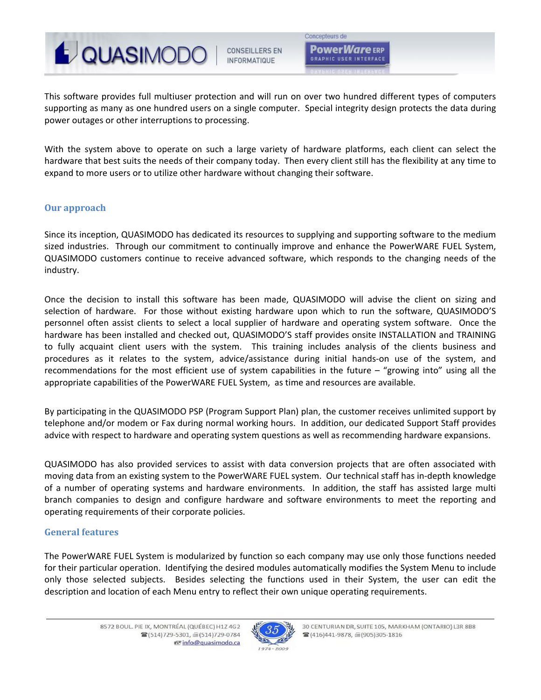

Concepteurs de **PowerWare** ERP **GRAPHIC USER INTERFACE** 

This software provides full multiuser protection and will run on over two hundred different types of computers supporting as many as one hundred users on a single computer. Special integrity design protects the data during power outages or other interruptions to processing.

With the system above to operate on such a large variety of hardware platforms, each client can select the hardware that best suits the needs of their company today. Then every client still has the flexibility at any time to expand to more users or to utilize other hardware without changing their software.

# **Our approach**

Since its inception, QUASIMODO has dedicated its resources to supplying and supporting software to the medium sized industries. Through our commitment to continually improve and enhance the PowerWARE FUEL System, QUASIMODO customers continue to receive advanced software, which responds to the changing needs of the industry.

Once the decision to install this software has been made, QUASIMODO will advise the client on sizing and selection of hardware. For those without existing hardware upon which to run the software, QUASIMODO'S personnel often assist clients to select a local supplier of hardware and operating system software. Once the hardware has been installed and checked out, QUASIMODO'S staff provides onsite INSTALLATION and TRAINING to fully acquaint client users with the system. This training includes analysis of the clients business and procedures as it relates to the system, advice/assistance during initial hands‐on use of the system, and recommendations for the most efficient use of system capabilities in the future – "growing into" using all the appropriate capabilities of the PowerWARE FUEL System, as time and resources are available.

By participating in the QUASIMODO PSP (Program Support Plan) plan, the customer receives unlimited support by telephone and/or modem or Fax during normal working hours. In addition, our dedicated Support Staff provides advice with respect to hardware and operating system questions as well as recommending hardware expansions.

QUASIMODO has also provided services to assist with data conversion projects that are often associated with moving data from an existing system to the PowerWARE FUEL system. Our technical staff has in‐depth knowledge of a number of operating systems and hardware environments. In addition, the staff has assisted large multi branch companies to design and configure hardware and software environments to meet the reporting and operating requirements of their corporate policies.

# **General features**

The PowerWARE FUEL System is modularized by function so each company may use only those functions needed for their particular operation. Identifying the desired modules automatically modifies the System Menu to include only those selected subjects. Besides selecting the functions used in their System, the user can edit the description and location of each Menu entry to reflect their own unique operating requirements.

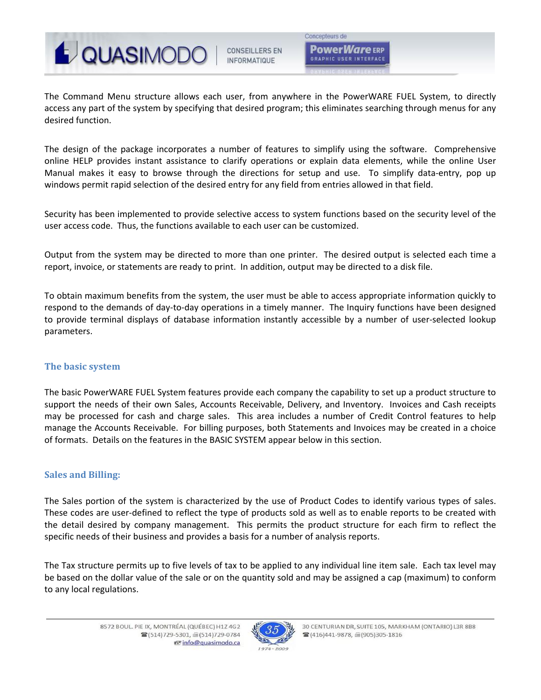

The Command Menu structure allows each user, from anywhere in the PowerWARE FUEL System, to directly access any part of the system by specifying that desired program; this eliminates searching through menus for any desired function.

The design of the package incorporates a number of features to simplify using the software. Comprehensive online HELP provides instant assistance to clarify operations or explain data elements, while the online User Manual makes it easy to browse through the directions for setup and use. To simplify data-entry, pop up windows permit rapid selection of the desired entry for any field from entries allowed in that field.

Security has been implemented to provide selective access to system functions based on the security level of the user access code. Thus, the functions available to each user can be customized.

Output from the system may be directed to more than one printer. The desired output is selected each time a report, invoice, or statements are ready to print. In addition, output may be directed to a disk file.

To obtain maximum benefits from the system, the user must be able to access appropriate information quickly to respond to the demands of day‐to‐day operations in a timely manner. The Inquiry functions have been designed to provide terminal displays of database information instantly accessible by a number of user‐selected lookup parameters.

# **The basic system**

The basic PowerWARE FUEL System features provide each company the capability to set up a product structure to support the needs of their own Sales, Accounts Receivable, Delivery, and Inventory. Invoices and Cash receipts may be processed for cash and charge sales. This area includes a number of Credit Control features to help manage the Accounts Receivable. For billing purposes, both Statements and Invoices may be created in a choice of formats. Details on the features in the BASIC SYSTEM appear below in this section.

# **Sales and Billing:**

The Sales portion of the system is characterized by the use of Product Codes to identify various types of sales. These codes are user‐defined to reflect the type of products sold as well as to enable reports to be created with the detail desired by company management. This permits the product structure for each firm to reflect the specific needs of their business and provides a basis for a number of analysis reports.

The Tax structure permits up to five levels of tax to be applied to any individual line item sale. Each tax level may be based on the dollar value of the sale or on the quantity sold and may be assigned a cap (maximum) to conform to any local regulations.

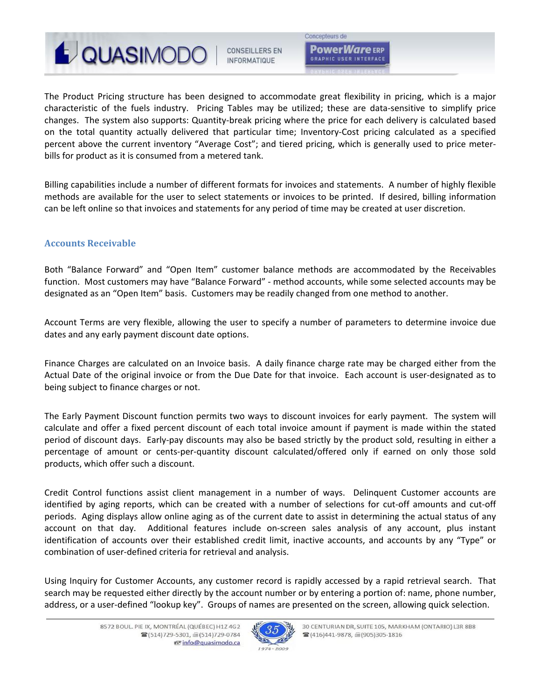

Concepteurs de **PowerWare** ERP **GRAPHIC USER INTERFACE** 

The Product Pricing structure has been designed to accommodate great flexibility in pricing, which is a major characteristic of the fuels industry. Pricing Tables may be utilized; these are data-sensitive to simplify price changes. The system also supports: Quantity‐break pricing where the price for each delivery is calculated based on the total quantity actually delivered that particular time; Inventory‐Cost pricing calculated as a specified percent above the current inventory "Average Cost"; and tiered pricing, which is generally used to price meter‐ bills for product as it is consumed from a metered tank.

Billing capabilities include a number of different formats for invoices and statements. A number of highly flexible methods are available for the user to select statements or invoices to be printed. If desired, billing information can be left online so that invoices and statements for any period of time may be created at user discretion.

# **Accounts Receivable**

Both "Balance Forward" and "Open Item" customer balance methods are accommodated by the Receivables function. Most customers may have "Balance Forward" ‐ method accounts, while some selected accounts may be designated as an "Open Item" basis. Customers may be readily changed from one method to another.

Account Terms are very flexible, allowing the user to specify a number of parameters to determine invoice due dates and any early payment discount date options.

Finance Charges are calculated on an Invoice basis. A daily finance charge rate may be charged either from the Actual Date of the original invoice or from the Due Date for that invoice. Each account is user‐designated as to being subject to finance charges or not.

The Early Payment Discount function permits two ways to discount invoices for early payment. The system will calculate and offer a fixed percent discount of each total invoice amount if payment is made within the stated period of discount days. Early‐pay discounts may also be based strictly by the product sold, resulting in either a percentage of amount or cents‐per‐quantity discount calculated/offered only if earned on only those sold products, which offer such a discount.

Credit Control functions assist client management in a number of ways. Delinquent Customer accounts are identified by aging reports, which can be created with a number of selections for cut-off amounts and cut-off periods. Aging displays allow online aging as of the current date to assist in determining the actual status of any account on that day. Additional features include on‐screen sales analysis of any account, plus instant identification of accounts over their established credit limit, inactive accounts, and accounts by any "Type" or combination of user‐defined criteria for retrieval and analysis.

Using Inquiry for Customer Accounts, any customer record is rapidly accessed by a rapid retrieval search. That search may be requested either directly by the account number or by entering a portion of: name, phone number, address, or a user-defined "lookup key". Groups of names are presented on the screen, allowing quick selection.

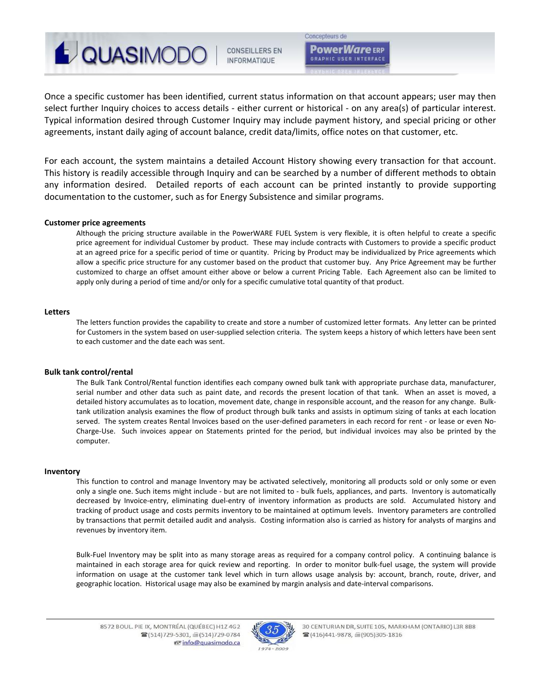**JOUASIMODO CONSEILLERS EN INFORMATIQUE** 

Concepteurs de **PowerWare** ERP **GRAPHIC USER INTERFACT** 

Once a specific customer has been identified, current status information on that account appears; user may then select further Inquiry choices to access details ‐ either current or historical ‐ on any area(s) of particular interest. Typical information desired through Customer Inquiry may include payment history, and special pricing or other agreements, instant daily aging of account balance, credit data/limits, office notes on that customer, etc.

For each account, the system maintains a detailed Account History showing every transaction for that account. This history is readily accessible through Inquiry and can be searched by a number of different methods to obtain any information desired. Detailed reports of each account can be printed instantly to provide supporting documentation to the customer, such as for Energy Subsistence and similar programs.

# **Customer price agreements**

Although the pricing structure available in the PowerWARE FUEL System is very flexible, it is often helpful to create a specific price agreement for individual Customer by product. These may include contracts with Customers to provide a specific product at an agreed price for a specific period of time or quantity. Pricing by Product may be individualized by Price agreements which allow a specific price structure for any customer based on the product that customer buy. Any Price Agreement may be further customized to charge an offset amount either above or below a current Pricing Table. Each Agreement also can be limited to apply only during a period of time and/or only for a specific cumulative total quantity of that product.

# **Letters**

The letters function provides the capability to create and store a number of customized letter formats. Any letter can be printed for Customers in the system based on user-supplied selection criteria. The system keeps a history of which letters have been sent to each customer and the date each was sent.

#### **Bulk tank control/rental**

The Bulk Tank Control/Rental function identifies each company owned bulk tank with appropriate purchase data, manufacturer, serial number and other data such as paint date, and records the present location of that tank. When an asset is moved, a detailed history accumulates as to location, movement date, change in responsible account, and the reason for any change. Bulktank utilization analysis examines the flow of product through bulk tanks and assists in optimum sizing of tanks at each location served. The system creates Rental Invoices based on the user-defined parameters in each record for rent - or lease or even No-Charge‐Use. Such invoices appear on Statements printed for the period, but individual invoices may also be printed by the computer.

#### **Inventory**

This function to control and manage Inventory may be activated selectively, monitoring all products sold or only some or even only a single one. Such items might include ‐ but are not limited to ‐ bulk fuels, appliances, and parts. Inventory is automatically decreased by Invoice-entry, eliminating duel-entry of inventory information as products are sold. Accumulated history and tracking of product usage and costs permits inventory to be maintained at optimum levels. Inventory parameters are controlled by transactions that permit detailed audit and analysis. Costing information also is carried as history for analysts of margins and revenues by inventory item.

Bulk‐Fuel Inventory may be split into as many storage areas as required for a company control policy. A continuing balance is maintained in each storage area for quick review and reporting. In order to monitor bulk‐fuel usage, the system will provide information on usage at the customer tank level which in turn allows usage analysis by: account, branch, route, driver, and geographic location. Historical usage may also be examined by margin analysis and date‐interval comparisons.

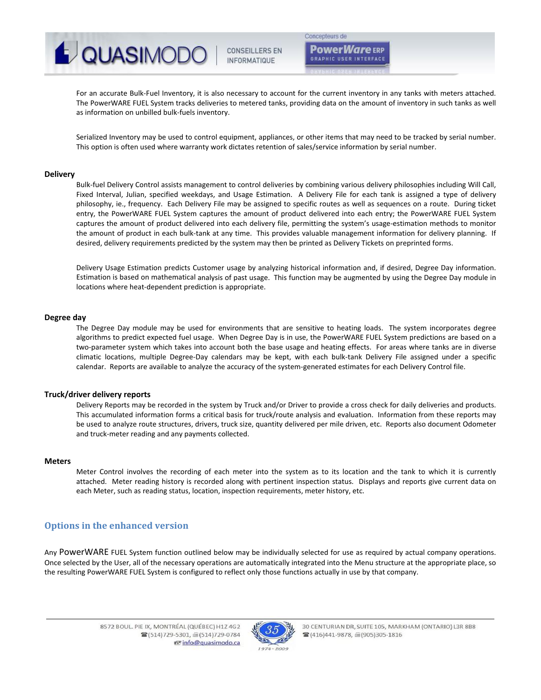

Concepteurs de

**Power***Ware* ERP **GRAPHIC USER INTERFAC** 

For an accurate Bulk‐Fuel Inventory, it is also necessary to account for the current inventory in any tanks with meters attached. The PowerWARE FUEL System tracks deliveries to metered tanks, providing data on the amount of inventory in such tanks as well as information on unbilled bulk‐fuels inventory.

Serialized Inventory may be used to control equipment, appliances, or other items that may need to be tracked by serial number. This option is often used where warranty work dictates retention of sales/service information by serial number.

## **Delivery**

Bulk‐fuel Delivery Control assists management to control deliveries by combining various delivery philosophies including Will Call, Fixed Interval, Julian, specified weekdays, and Usage Estimation. A Delivery File for each tank is assigned a type of delivery philosophy, ie., frequency. Each Delivery File may be assigned to specific routes as well as sequences on a route. During ticket entry, the PowerWARE FUEL System captures the amount of product delivered into each entry; the PowerWARE FUEL System captures the amount of product delivered into each delivery file, permitting the system's usage‐estimation methods to monitor the amount of product in each bulk-tank at any time. This provides valuable management information for delivery planning. If desired, delivery requirements predicted by the system may then be printed as Delivery Tickets on preprinted forms.

Delivery Usage Estimation predicts Customer usage by analyzing historical information and, if desired, Degree Day information. Estimation is based on mathematical analysis of past usage. This function may be augmented by using the Degree Day module in locations where heat‐dependent prediction is appropriate.

# **Degree day**

The Degree Day module may be used for environments that are sensitive to heating loads. The system incorporates degree algorithms to predict expected fuel usage. When Degree Day is in use, the PowerWARE FUEL System predictions are based on a two-parameter system which takes into account both the base usage and heating effects. For areas where tanks are in diverse climatic locations, multiple Degree‐Day calendars may be kept, with each bulk‐tank Delivery File assigned under a specific calendar. Reports are available to analyze the accuracy of the system-generated estimates for each Delivery Control file.

#### **Truck/driver delivery reports**

Delivery Reports may be recorded in the system by Truck and/or Driver to provide a cross check for daily deliveries and products. This accumulated information forms a critical basis for truck/route analysis and evaluation. Information from these reports may be used to analyze route structures, drivers, truck size, quantity delivered per mile driven, etc. Reports also document Odometer and truck‐meter reading and any payments collected.

#### **Meters**

Meter Control involves the recording of each meter into the system as to its location and the tank to which it is currently attached. Meter reading history is recorded along with pertinent inspection status. Displays and reports give current data on each Meter, such as reading status, location, inspection requirements, meter history, etc.

# **Options in the enhanced version**

Any PowerWARE FUEL System function outlined below may be individually selected for use as required by actual company operations. Once selected by the User, all of the necessary operations are automatically integrated into the Menu structure at the appropriate place, so the resulting PowerWARE FUEL System is configured to reflect only those functions actually in use by that company.

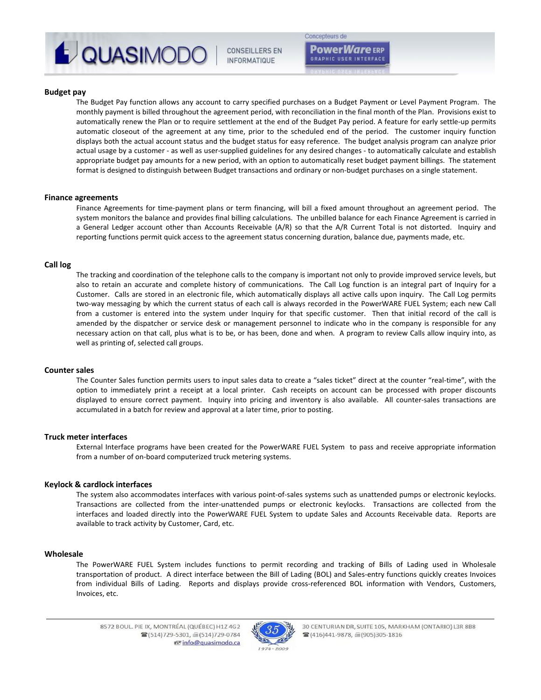

# Concepteurs de

**Power***Ware* ERP **GRAPHIC USER INTERFACT** 

**Budget pay**

The Budget Pay function allows any account to carry specified purchases on a Budget Payment or Level Payment Program. The monthly payment is billed throughout the agreement period, with reconciliation in the final month of the Plan. Provisions exist to automatically renew the Plan or to require settlement at the end of the Budget Pay period. A feature for early settle‐up permits automatic closeout of the agreement at any time, prior to the scheduled end of the period. The customer inquiry function displays both the actual account status and the budget status for easy reference. The budget analysis program can analyze prior actual usage by a customer ‐ as well as user‐supplied guidelines for any desired changes ‐ to automatically calculate and establish appropriate budget pay amounts for a new period, with an option to automatically reset budget payment billings. The statement format is designed to distinguish between Budget transactions and ordinary or non-budget purchases on a single statement.

#### **Finance agreements**

Finance Agreements for time‐payment plans or term financing, will bill a fixed amount throughout an agreement period. The system monitors the balance and provides final billing calculations. The unbilled balance for each Finance Agreement is carried in a General Ledger account other than Accounts Receivable (A/R) so that the A/R Current Total is not distorted. Inquiry and reporting functions permit quick access to the agreement status concerning duration, balance due, payments made, etc.

#### **Call log**

The tracking and coordination of the telephone calls to the company is important not only to provide improved service levels, but also to retain an accurate and complete history of communications. The Call Log function is an integral part of Inquiry for a Customer. Calls are stored in an electronic file, which automatically displays all active calls upon inquiry. The Call Log permits two‐way messaging by which the current status of each call is always recorded in the PowerWARE FUEL System; each new Call from a customer is entered into the system under Inquiry for that specific customer. Then that initial record of the call is amended by the dispatcher or service desk or management personnel to indicate who in the company is responsible for any necessary action on that call, plus what is to be, or has been, done and when. A program to review Calls allow inquiry into, as well as printing of, selected call groups.

#### **Counter sales**

The Counter Sales function permits users to input sales data to create a "sales ticket" direct at the counter "real-time", with the option to immediately print a receipt at a local printer. Cash receipts on account can be processed with proper discounts displayed to ensure correct payment. Inquiry into pricing and inventory is also available. All counter‐sales transactions are accumulated in a batch for review and approval at a later time, prior to posting.

# **Truck meter interfaces**

External Interface programs have been created for the PowerWARE FUEL System to pass and receive appropriate information from a number of on‐board computerized truck metering systems.

#### **Keylock & cardlock interfaces**

The system also accommodates interfaces with various point‐of‐sales systems such as unattended pumps or electronic keylocks. Transactions are collected from the inter‐unattended pumps or electronic keylocks. Transactions are collected from the interfaces and loaded directly into the PowerWARE FUEL System to update Sales and Accounts Receivable data. Reports are available to track activity by Customer, Card, etc.

#### **Wholesale**

The PowerWARE FUEL System includes functions to permit recording and tracking of Bills of Lading used in Wholesale transportation of product. A direct interface between the Bill of Lading (BOL) and Sales‐entry functions quickly creates Invoices from individual Bills of Lading. Reports and displays provide cross-referenced BOL information with Vendors, Customers, Invoices, etc.

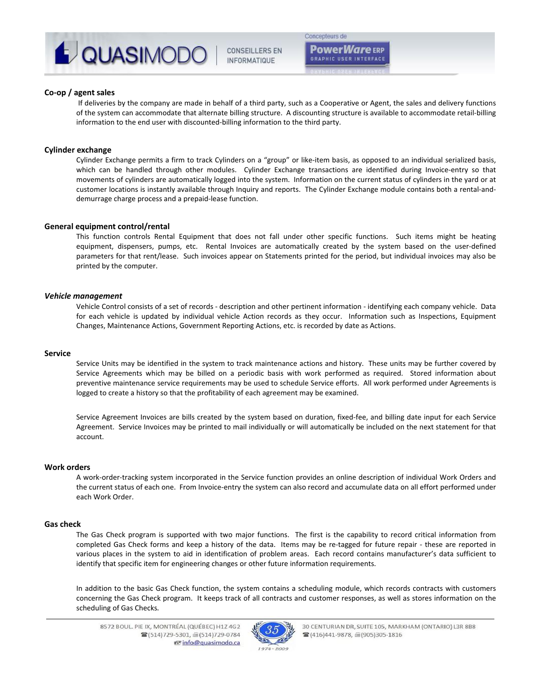

Concepteurs de

**Power Ware ERP GRAPHIC USER INTERFAC** 

# **Co‐op / agent sales**

If deliveries by the company are made in behalf of a third party, such as a Cooperative or Agent, the sales and delivery functions of the system can accommodate that alternate billing structure. A discounting structure is available to accommodate retail‐billing information to the end user with discounted‐billing information to the third party.

#### **Cylinder exchange**

Cylinder Exchange permits a firm to track Cylinders on a "group" or like‐item basis, as opposed to an individual serialized basis, which can be handled through other modules. Cylinder Exchange transactions are identified during Invoice-entry so that movements of cylinders are automatically logged into the system. Information on the current status of cylinders in the yard or at customer locations is instantly available through Inquiry and reports. The Cylinder Exchange module contains both a rental‐and‐ demurrage charge process and a prepaid‐lease function.

# **General equipment control/rental**

This function controls Rental Equipment that does not fall under other specific functions. Such items might be heating equipment, dispensers, pumps, etc. Rental Invoices are automatically created by the system based on the user-defined parameters for that rent/lease. Such invoices appear on Statements printed for the period, but individual invoices may also be printed by the computer.

# *Vehicle management*

Vehicle Control consists of a set of records ‐ description and other pertinent information ‐ identifying each company vehicle. Data for each vehicle is updated by individual vehicle Action records as they occur. Information such as Inspections, Equipment Changes, Maintenance Actions, Government Reporting Actions, etc. is recorded by date as Actions.

#### **Service**

Service Units may be identified in the system to track maintenance actions and history. These units may be further covered by Service Agreements which may be billed on a periodic basis with work performed as required. Stored information about preventive maintenance service requirements may be used to schedule Service efforts. All work performed under Agreements is logged to create a history so that the profitability of each agreement may be examined.

Service Agreement Invoices are bills created by the system based on duration, fixed-fee, and billing date input for each Service Agreement. Service Invoices may be printed to mail individually or will automatically be included on the next statement for that account.

#### **Work orders**

A work‐order‐tracking system incorporated in the Service function provides an online description of individual Work Orders and the current status of each one. From Invoice-entry the system can also record and accumulate data on all effort performed under each Work Order.

#### **Gas check**

The Gas Check program is supported with two major functions. The first is the capability to record critical information from completed Gas Check forms and keep a history of the data. Items may be re-tagged for future repair - these are reported in various places in the system to aid in identification of problem areas. Each record contains manufacturer's data sufficient to identify that specific item for engineering changes or other future information requirements.

In addition to the basic Gas Check function, the system contains a scheduling module, which records contracts with customers concerning the Gas Check program. It keeps track of all contracts and customer responses, as well as stores information on the scheduling of Gas Checks.



30 CENTURIAN DR, SUITE 105, MARKHAM (ONTARIO) L3R 8B8 ■(416)441-9878, ■(905)305-1816